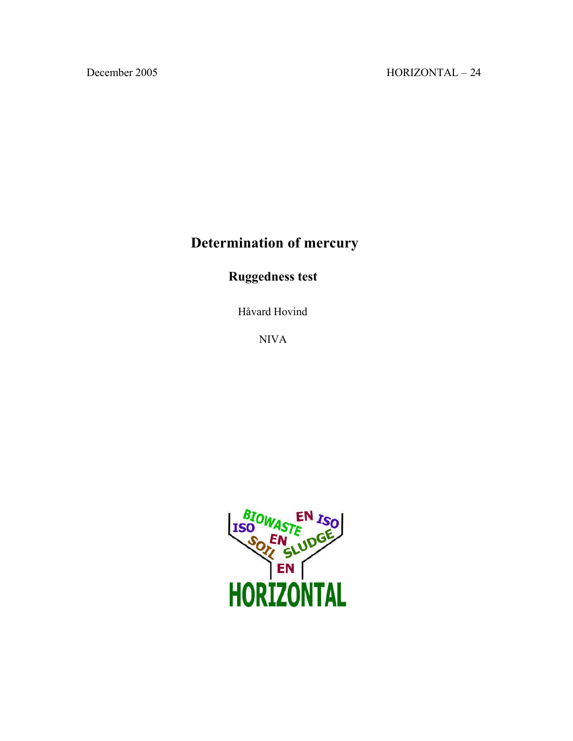# **Determination of mercury**

# **Ruggedness test**

Håvard Hovind

NIVA

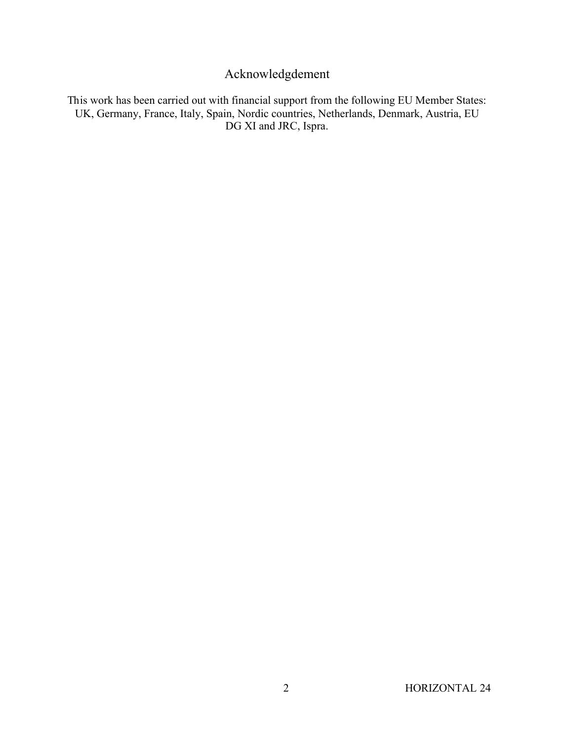## Acknowledgdement

This work has been carried out with financial support from the following EU Member States: UK, Germany, France, Italy, Spain, Nordic countries, Netherlands, Denmark, Austria, EU DG XI and JRC, Ispra.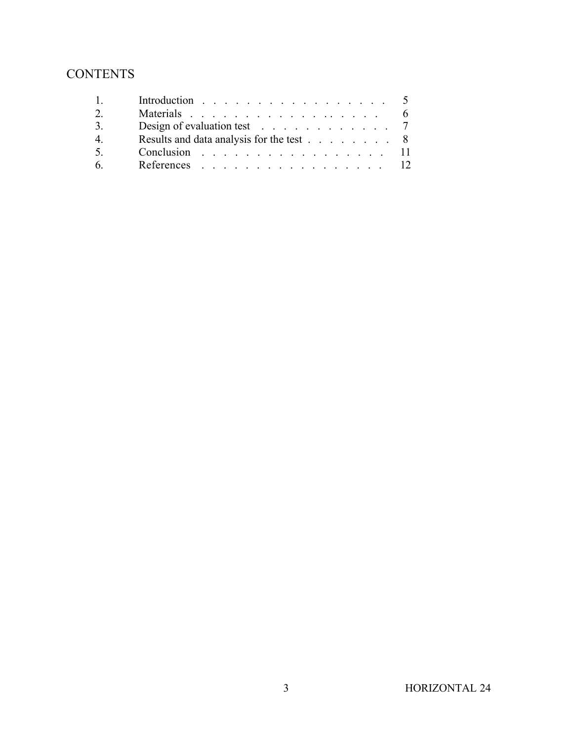# **CONTENTS**

|    | Introduction 5                           |       |
|----|------------------------------------------|-------|
|    |                                          |       |
| 3. | Design of evaluation test $\ldots$ 7     |       |
| 4. | Results and data analysis for the test 8 |       |
| 5. | Conclusion 11                            |       |
| 6  | References                               | $-12$ |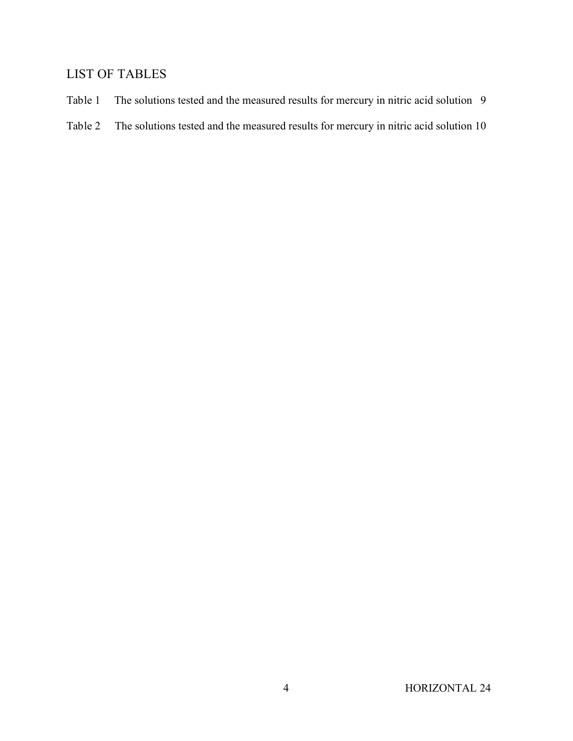### LIST OF TABLES

- Table 1 The solutions tested and the measured results for mercury in nitric acid solution 9
- Table 2 The solutions tested and the measured results for mercury in nitric acid solution 10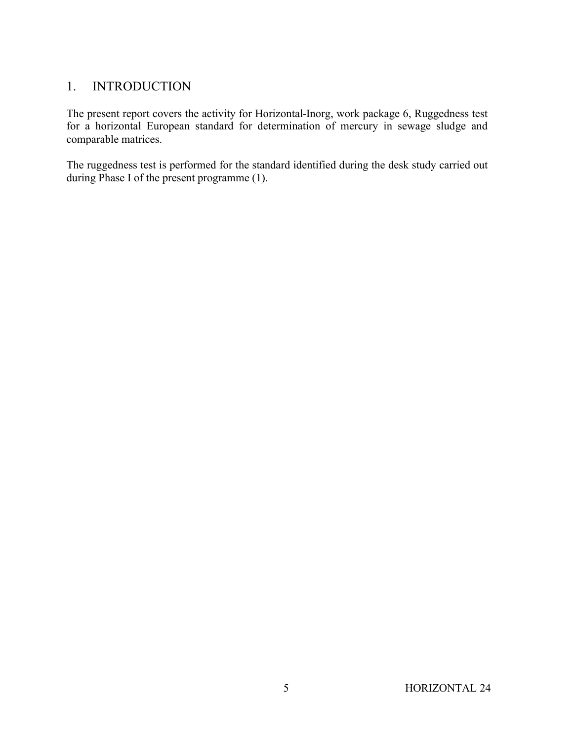#### 1. INTRODUCTION

The present report covers the activity for Horizontal-Inorg, work package 6, Ruggedness test for a horizontal European standard for determination of mercury in sewage sludge and comparable matrices.

The ruggedness test is performed for the standard identified during the desk study carried out during Phase I of the present programme (1).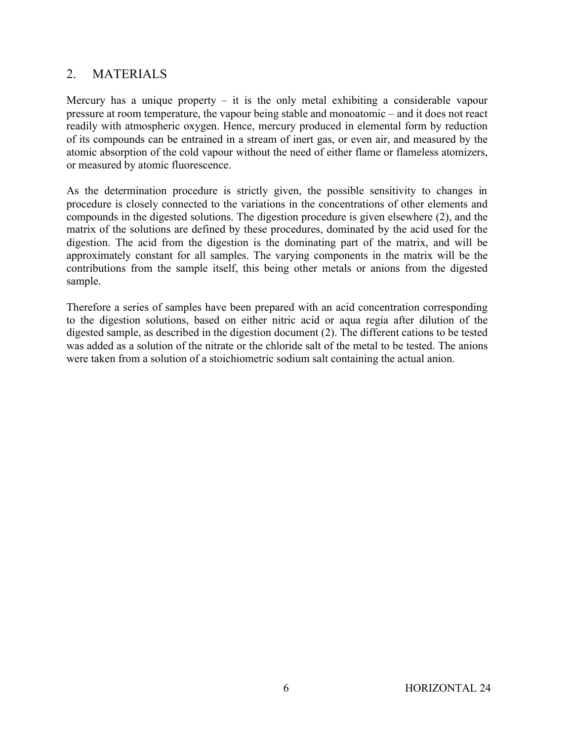#### 2. MATERIALS

Mercury has a unique property  $-$  it is the only metal exhibiting a considerable vapour pressure at room temperature, the vapour being stable and monoatomic – and it does not react readily with atmospheric oxygen. Hence, mercury produced in elemental form by reduction of its compounds can be entrained in a stream of inert gas, or even air, and measured by the atomic absorption of the cold vapour without the need of either flame or flameless atomizers, or measured by atomic fluorescence.

As the determination procedure is strictly given, the possible sensitivity to changes in procedure is closely connected to the variations in the concentrations of other elements and compounds in the digested solutions. The digestion procedure is given elsewhere (2), and the matrix of the solutions are defined by these procedures, dominated by the acid used for the digestion. The acid from the digestion is the dominating part of the matrix, and will be approximately constant for all samples. The varying components in the matrix will be the contributions from the sample itself, this being other metals or anions from the digested sample.

Therefore a series of samples have been prepared with an acid concentration corresponding to the digestion solutions, based on either nitric acid or aqua regia after dilution of the digested sample, as described in the digestion document (2). The different cations to be tested was added as a solution of the nitrate or the chloride salt of the metal to be tested. The anions were taken from a solution of a stoichiometric sodium salt containing the actual anion.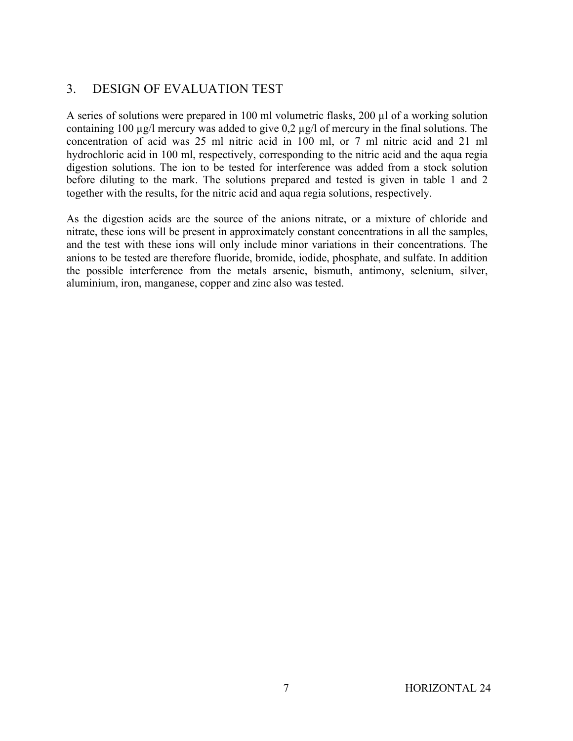## 3. DESIGN OF EVALUATION TEST

A series of solutions were prepared in 100 ml volumetric flasks, 200 µl of a working solution containing 100 µg/l mercury was added to give 0,2 µg/l of mercury in the final solutions. The concentration of acid was 25 ml nitric acid in 100 ml, or 7 ml nitric acid and 21 ml hydrochloric acid in 100 ml, respectively, corresponding to the nitric acid and the aqua regia digestion solutions. The ion to be tested for interference was added from a stock solution before diluting to the mark. The solutions prepared and tested is given in table 1 and 2 together with the results, for the nitric acid and aqua regia solutions, respectively.

As the digestion acids are the source of the anions nitrate, or a mixture of chloride and nitrate, these ions will be present in approximately constant concentrations in all the samples, and the test with these ions will only include minor variations in their concentrations. The anions to be tested are therefore fluoride, bromide, iodide, phosphate, and sulfate. In addition the possible interference from the metals arsenic, bismuth, antimony, selenium, silver, aluminium, iron, manganese, copper and zinc also was tested.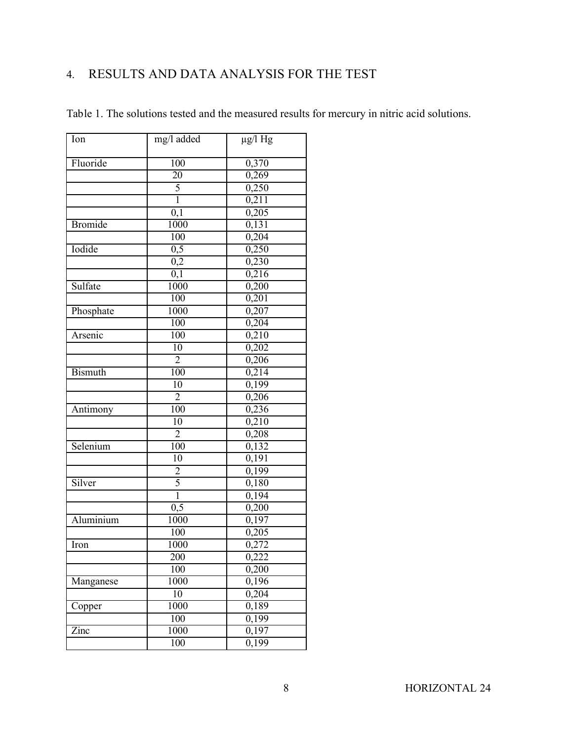# 4. RESULTS AND DATA ANALYSIS FOR THE TEST

| mg/l added<br>Ion          | $\mu$ g/l Hg       |
|----------------------------|--------------------|
|                            |                    |
| Fluoride<br>100            | 0,370              |
| 20                         | 0,269              |
| $\frac{5}{1}$              | 0,250              |
|                            | 0,211              |
| 0,1                        | 0,205              |
| <b>Bromide</b><br>1000     | 0,131              |
| 100                        | 0,204              |
| Iodide<br>$\overline{0,5}$ | 0,250              |
| $\overline{0,2}$           | 0,230              |
| 0,1                        | 0,216              |
| Sulfate<br>1000            | 0,200              |
| 100                        | 0,201              |
| 1000<br>Phosphate          | 0,207              |
| 100                        | 0,204              |
| Arsenic<br>100             | 0,210              |
| 10                         | 0,202              |
| $\overline{2}$             | 0,206              |
| <b>Bismuth</b><br>100      | 0,214              |
| 10                         | 0,199              |
| $\overline{2}$             | 0,206              |
| 100<br>Antimony            | 0,236              |
| $\overline{10}$            | 0,210              |
| $\overline{2}$             | 0,208              |
| 100<br>Selenium            | 0,132              |
| 10                         | 0,191              |
| $\overline{2}$             | 0,199              |
| 5<br>Silver                | 0,180              |
| $\overline{1}$             | 0,194              |
| 0,5                        | 0,200              |
| 1000<br>Aluminium          | 0,197              |
| 100                        | 0,205              |
| 1000<br>Iron               | 0,272              |
| $\overline{200}$           | 0,222              |
| 100                        | 0,200              |
| 1000<br>Manganese          | $\overline{0,196}$ |
| 10                         | 0,204              |
| 1000<br>Copper             | 0,189              |
| $\overline{100}$           | $\overline{0,199}$ |
| 1000<br>Zinc               | 0,197              |
| 100                        | 0,199              |

Table 1. The solutions tested and the measured results for mercury in nitric acid solutions.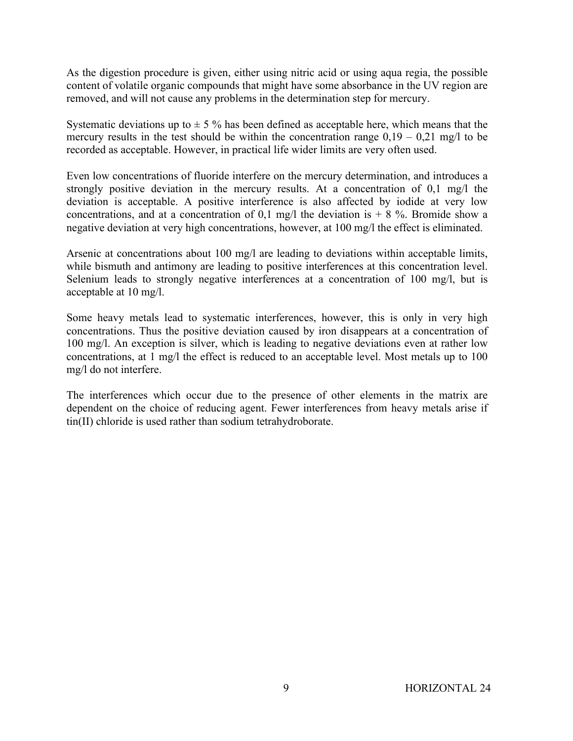As the digestion procedure is given, either using nitric acid or using aqua regia, the possible content of volatile organic compounds that might have some absorbance in the UV region are removed, and will not cause any problems in the determination step for mercury.

Systematic deviations up to  $\pm$  5 % has been defined as acceptable here, which means that the mercury results in the test should be within the concentration range  $0.19 - 0.21$  mg/l to be recorded as acceptable. However, in practical life wider limits are very often used.

Even low concentrations of fluoride interfere on the mercury determination, and introduces a strongly positive deviation in the mercury results. At a concentration of 0,1 mg/l the deviation is acceptable. A positive interference is also affected by iodide at very low concentrations, and at a concentration of 0,1 mg/l the deviation is  $+ 8$  %. Bromide show a negative deviation at very high concentrations, however, at 100 mg/l the effect is eliminated.

Arsenic at concentrations about 100 mg/l are leading to deviations within acceptable limits, while bismuth and antimony are leading to positive interferences at this concentration level. Selenium leads to strongly negative interferences at a concentration of 100 mg/l, but is acceptable at 10 mg/l.

Some heavy metals lead to systematic interferences, however, this is only in very high concentrations. Thus the positive deviation caused by iron disappears at a concentration of 100 mg/l. An exception is silver, which is leading to negative deviations even at rather low concentrations, at 1 mg/l the effect is reduced to an acceptable level. Most metals up to 100 mg/l do not interfere.

The interferences which occur due to the presence of other elements in the matrix are dependent on the choice of reducing agent. Fewer interferences from heavy metals arise if tin(II) chloride is used rather than sodium tetrahydroborate.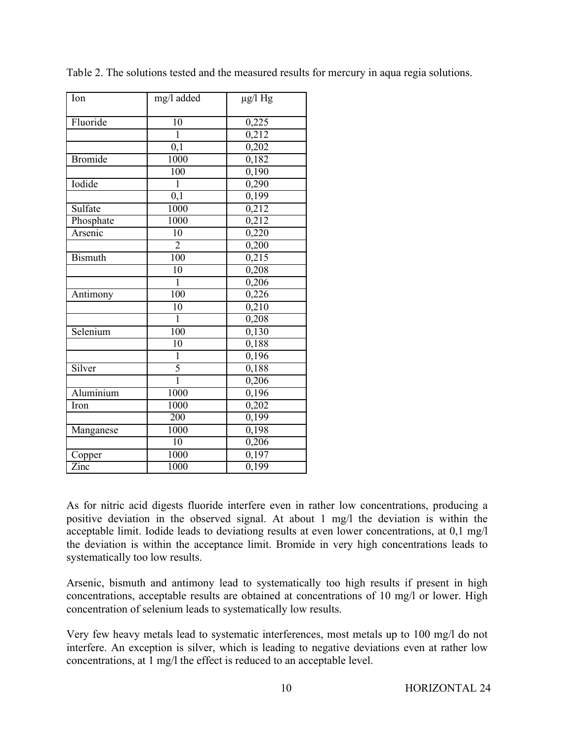| Ion                | mg/l added      | $\mu$ g/l Hg       |
|--------------------|-----------------|--------------------|
| Fluoride           | 10              | 0,225              |
|                    | ī               | 0,212              |
|                    | 0,1             | 0,202              |
| <b>Bromide</b>     | 1000            | 0,182              |
|                    | 100             | 0,190              |
| Iodide             | $\mathbf{1}$    | 0,290              |
|                    | 0,1             | 0,199              |
| Sulfate            | 1000            | 0,212              |
| Phosphate          | 1000            | 0,212              |
| Arsenic            | $\overline{10}$ | 0,220              |
|                    | $\overline{2}$  | 0,200              |
| <b>Bismuth</b>     | 100             | 0,215              |
|                    | 10              | 0,208              |
|                    | $\overline{1}$  | 0,206              |
| Antimony           | 100             | 0,226              |
|                    | $\overline{10}$ | 0,210              |
|                    | $\overline{1}$  | 0,208              |
| Selenium           | 100             | 0,130              |
|                    | $\overline{10}$ | 0,188              |
|                    | $\mathbf{1}$    | 0,196              |
| Silver             | $\frac{5}{1}$   | 0,188              |
|                    |                 | 0,206              |
| Aluminium          | 1000            | 0,196              |
| Iron               | 1000            | $\overline{0,202}$ |
|                    | 200             | 0,199              |
| Manganese          | 1000            | $\overline{0,}198$ |
|                    | $\overline{10}$ | 0,206              |
| Copper             | 1000            | 0,197              |
| $\overline{Z}$ inc | 1000            | $\overline{0,199}$ |

Table 2. The solutions tested and the measured results for mercury in aqua regia solutions.

As for nitric acid digests fluoride interfere even in rather low concentrations, producing a positive deviation in the observed signal. At about 1 mg/l the deviation is within the acceptable limit. Iodide leads to deviationg results at even lower concentrations, at 0,1 mg/l the deviation is within the acceptance limit. Bromide in very high concentrations leads to systematically too low results.

Arsenic, bismuth and antimony lead to systematically too high results if present in high concentrations, acceptable results are obtained at concentrations of 10 mg/l or lower. High concentration of selenium leads to systematically low results.

Very few heavy metals lead to systematic interferences, most metals up to 100 mg/l do not interfere. An exception is silver, which is leading to negative deviations even at rather low concentrations, at 1 mg/l the effect is reduced to an acceptable level.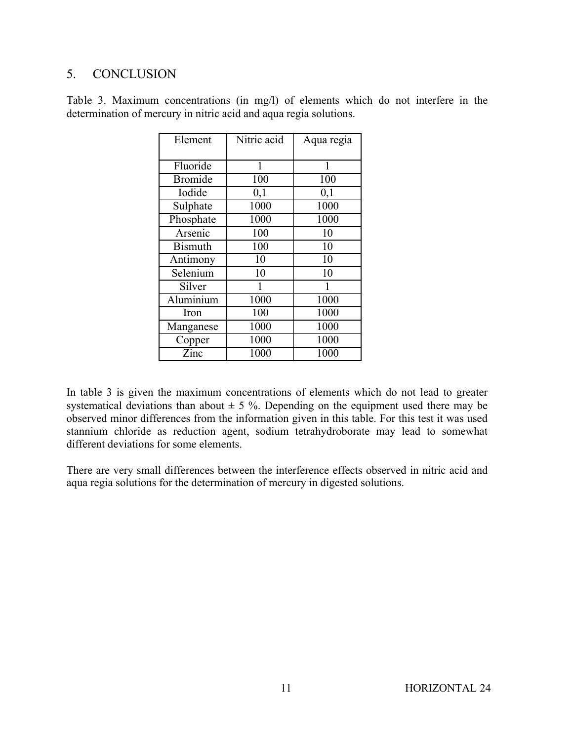#### 5. CONCLUSION

| Element        | Nitric acid | Aqua regia |
|----------------|-------------|------------|
| Fluoride       | 1           | 1          |
| <b>Bromide</b> | 100         | 100        |
| Iodide         | 0,1         | 0,1        |
| Sulphate       | 1000        | 1000       |
| Phosphate      | 1000        | 1000       |
| Arsenic        | 100         | 10         |
| <b>Bismuth</b> | 100         | 10         |
| Antimony       | 10          | 10         |
| Selenium       | 10          | 10         |
| Silver         | 1           | 1          |
| Aluminium      | 1000        | 1000       |
| Iron           | 100         | 1000       |
| Manganese      | 1000        | 1000       |
| Copper         | 1000        | 1000       |
| Zinc           | 1000        | 1000       |

Table 3. Maximum concentrations (in mg/l) of elements which do not interfere in the determination of mercury in nitric acid and aqua regia solutions.

In table 3 is given the maximum concentrations of elements which do not lead to greater systematical deviations than about  $\pm$  5 %. Depending on the equipment used there may be observed minor differences from the information given in this table. For this test it was used stannium chloride as reduction agent, sodium tetrahydroborate may lead to somewhat different deviations for some elements.

There are very small differences between the interference effects observed in nitric acid and aqua regia solutions for the determination of mercury in digested solutions.